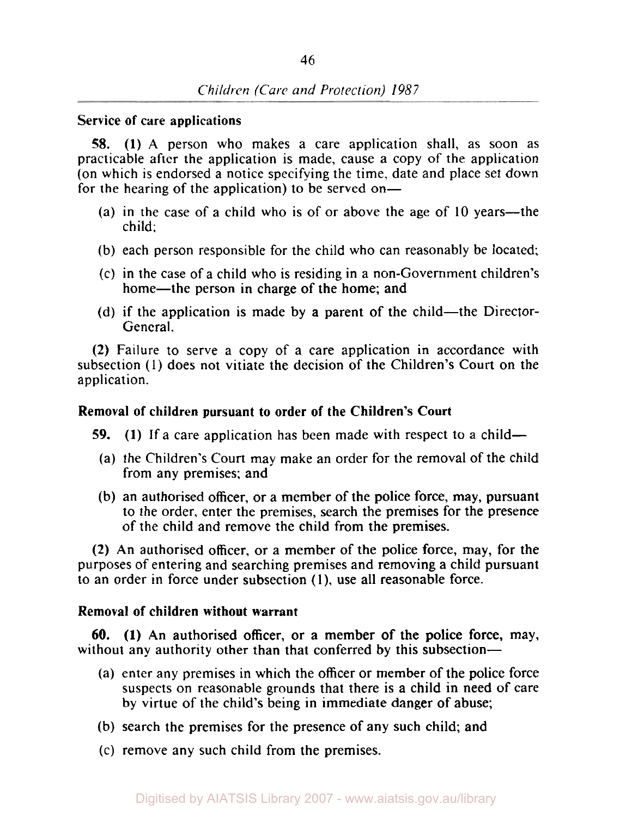## **Service of care applications**

*58.* **(1) A** person who makes a care application shall, as soon as practicable after the application is made, cause a copy of the application (on which is endorsed a notice specifying the time, date and place set down for the hearing of the application) to be served on-

- (a) in the case of a child who is of or above the age of  $10$  years—the child;
- (b) each person responsible for the child who can reasonably be located;
- *(c)* in the case of a child who is residing in a non-Government children's home—the person in charge of the home; and
- (d) if the application is made by a parent of the child—the Director-General.

**(2)** Failure to serve a copy of a care application in accordance with subsection (1) does not vitiate the decision of the Children's Court on the application.

#### **Removal of children pursuant to order of the Children's Court**

- **59.** (1) If a care application has been made with respect to a child-
	- (a) the Children's Court may make an order for the removal of the child from any premises: and
	- (b) an authorised officer, or a member of the police force, may, pursuant to the order, enter the premises, search the premises for the presence of the child and remove the child from the premises.

**(2)** An authorised officer, or **a** member of the police force, may, for the purposes of entering and searching premises and removing a child pursuant to an order in force under subsection **(1),** use all reasonable force.

#### **Removal of children without warrant**

without any authority other than that conferred by this subsection— **60. (1) An** authorised officer, or a member of the police force, may,

- (a) enter any premises in which the officer or member of the police force suspects on reasonable grounds that there is a child in need of care by virtue of the child's being in immediate danger of abuse;
- (b) search the premises for the presence of any such child; and
- *(c)* remove any such child from the premises.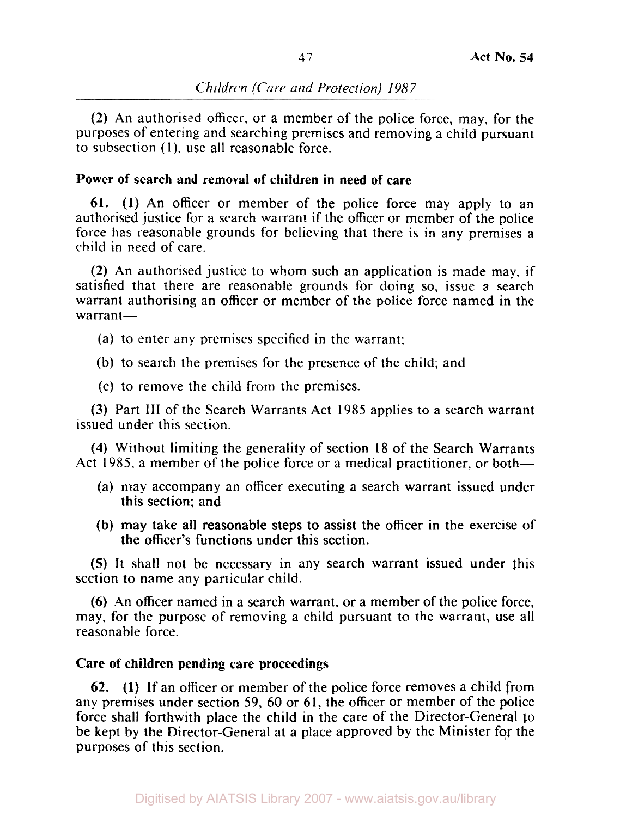# *Children (Care and Protection) 1987*

**(2)** An authorised officer, or a member of the police force, may, for the purposes of entering and searching premises and removing a child pursuant to subsection (1), use all reasonable force.

# **Power of search and removal of children in need of care**

**61. (1)** An officer or member of the police force may apply to an authorised justice for a search warrant if the officer or member of the police force has reasonable grounds for believing that there is in any premises a child in need of care.

**(2)** An authorised justice to whom such an application is made may, if satisfied that there are reasonable grounds for doing **so,** issue a search warrant authorising an officer or member of the police force named in the warrant-

- (a) to enter any premises specified in the warrant:
- (b) to search the premises for the presence of the child; and
- (c) to remove the child from the premises.

**(3)** Part **III** of the Search Warrants Act 1985 applies to a search warrant issued under this section.

**(4)** Without limiting the generality of section 18 of the Search Warrants Act 1985, a member of the police force or a medical practitioner, or both-

- (a) may accompany an officer executing a search warrant issued under this section; and
- (b) may take all reasonable steps to assist the officer in the exercise of the officer's functions under this section.

*(5)* It shall not be necessary in any search warrant issued under this section to name any particular child.

**(6)** An officer named in a search warrant, or a member of the police force, may, for the purpose of removing a child pursuant to the warrant, use all reasonable force.

# **Care of children pending care proceedings**

**62. (1)** If an officer or member of the police force removes a child from any premises under section 59, 60 or 61, the officer or member of the police force shall forthwith place the child in the care of the Director-General **to**  be kept by the Director-General at a place approved by the Minister for the purposes of this section.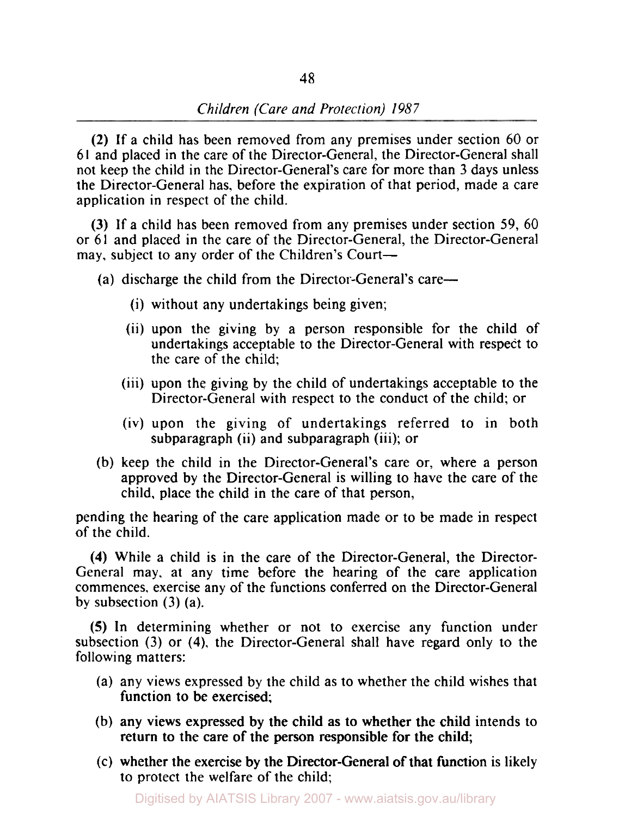**(2)** If a child has been removed from any premises under section 60 or 61 and placed in the care of the Director-General, the Director-General shall not keep the child in the Director-General's care for more than 3 days unless the Director-General has, before the expiration of that period, made a care application in respect of the child.

**(3)** If a child has been removed from any premises under section 59, 60 or 61 and placed in the care of the Director-General, the Director-General may, subject to any order of the Children's Court-

(a) discharge the child from the Director-General's care-

- (i) without any undertakings being given;
- (ii) upon the giving by a person responsible for the child of undertakings acceptable to the Director-General with respect to the care of the child;
- (iii) upon the giving by the child of undertakings acceptable to the Director-General with respect to the conduct of the child; or
- (iv) upon the giving of undertakings referred to in both subparagraph (ii) and subparagraph (iii); or
- (b) keep the child in the Director-General's care or, where a person approved by the Director-General is willing to have the care of the child, place the child in the care of that person,

pending the hearing of the care application made or to be made in respect of the child.

**(4)** While a child is in the care of the Director-General, the Director-General may. at any time before the hearing of the care application commences, exercise any of the functions conferred on the Director-General by subsection **(3)** (a).

*(5)* In determining whether or not to exercise any function under subsection (3) or **(4),** the Director-General shall have regard only to the following matters:

- (a) any views expressed by the child as to whether the child wishes that function to be exercised;
- (b) any views expressed by the child as to whether the child intends to return to the care of the person responsible for the child;
- (c) whether the exercise by the Director-General of that function is likely to protect the welfare of the child;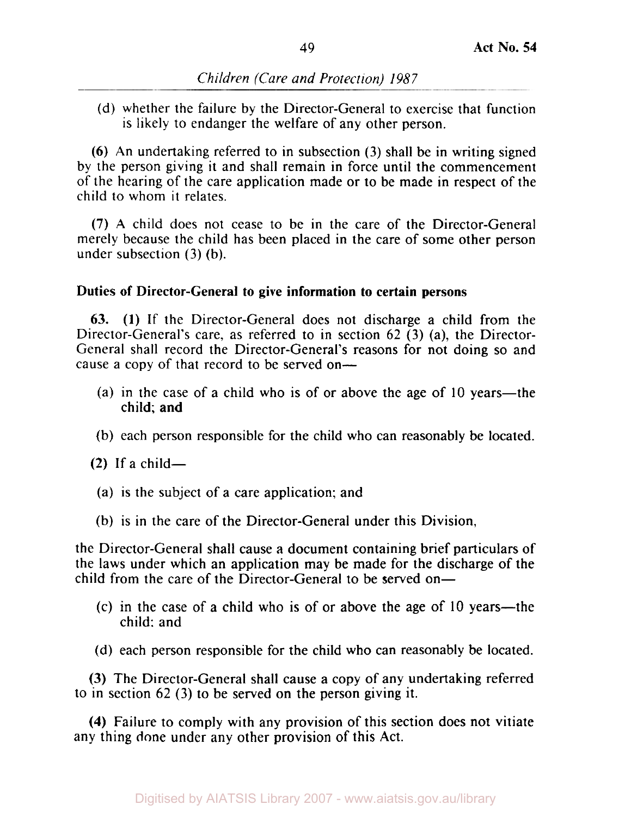(d) whether the failure by the Director-General to exercise that function is likely to endanger the welfare of any other person.

*(6)* An undertaking referred to in subsection **(3)** shall be in writing signed by the person giving it and shall remain in force until the commencement of the hearing of the care application made or to be made in respect of the child to whom it relates.

**(7)** A child does not cease to be in the care of the Director-General merely because the child has been placed in the care of some other person under subsection **(3)** (b).

## **Duties of Director-General to give information to certain persons**

*63.* **(1)** If the Director-General does not discharge a child from the Director-General's care, as referred to in section 62 **(3)** (a), the Director-General shall record the Director-General's reasons for not doing so and cause a copy of that record to be served on-

- (a) in the case of a child who is of or above the age of 10 years—the child; and
- (b) each person responsible for the child who can reasonably be located.

 $(2)$  If a child-

- (a) is the subject of a care application; and
- (b) is in the care of the Director-General under this Division,

the Director-General shall cause a document containing brief particulars of the laws under which an application may be made for the discharge of the child from the care of the Director-General to be served on-

- *(c)* in the case of a child who is of or above the age of 10 years-the child: and
- (d) each person responsible for the child who can reasonably be located.

*(3)* The Director-General shall cause a copy of any undertaking referred to in section 62 **(3)** to be served on the person giving it.

**(4)** Failure to comply with any provision of this section does not vitiate any thing done under any other provision of this Act.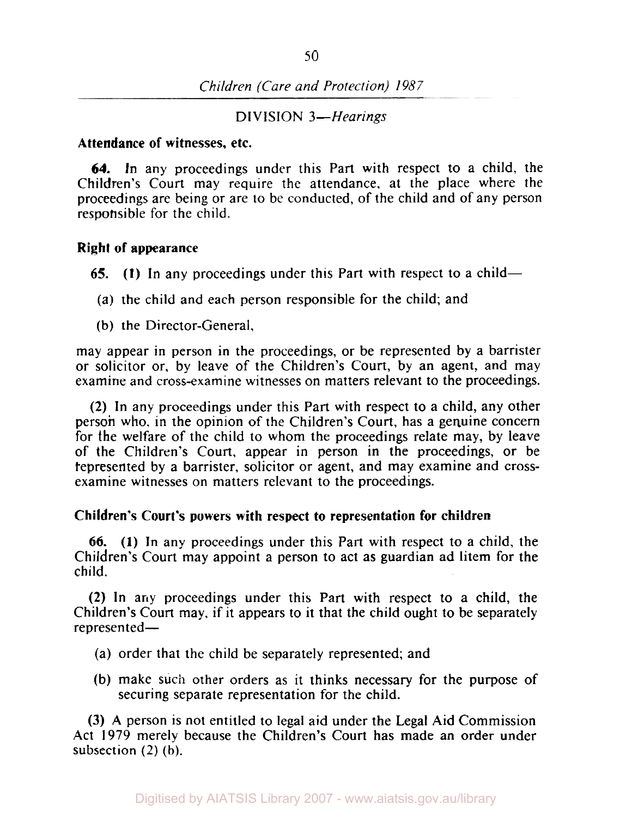*Children (Care and Protection) 1987* 

**DIVISION 3-Hearings** 

### **Attendance of witnesses, etc.**

**64.** In any proceedings under this Part with respect to a child, the Children's Court may require the attendance, at the place where the proceedings are being or are to be conducted, of the child and of any person responsible for the child.

### **Right of appearance**

*65.* **(1)** In any proceedings under this Part with respect to a child-

- (a) the child and each person responsible for the child; and
- (b) the Director-General,

may appear in person in the proceedings, or be represented by a barrister or solicitor or, by leave of the Children's Court, by an agent, and may examine and cross-examine witnesses on matters relevant to the proceedings.

**(2)** In any proceedings under this Part with respect to a child, any other person who. in the opinion of the Children's Court, has a genuine concern for the welfare of the child to whom the proceedings relate may, by leave of the Children's Court, appear in person in the proceedings, or be represented by a barrister, solicitor or agent, and may examine and **cross**examine witnesses on matters relevant to the proceedings.

## **Children's Court's powers with respect to representation for children**

*66.* **(1)** In any proceedings under this Part with respect to a child, the Children's Court may appoint a person to act as guardian ad litem for the child.

**(2)** In any proceedings under this Part with respect to a child, the Children's Court may, if it appears to it that the child ought to be separately represented-

- (a) order that the child be separately represented; and
- (b) make such other orders as it thinks necessary for the purpose of securing separate representation for the child.

**(3) A** person is not entitled to legal aid under the Legal Aid Commission **Act 1979** merely because the Children's Court has made an order under subsection **(2)** (b).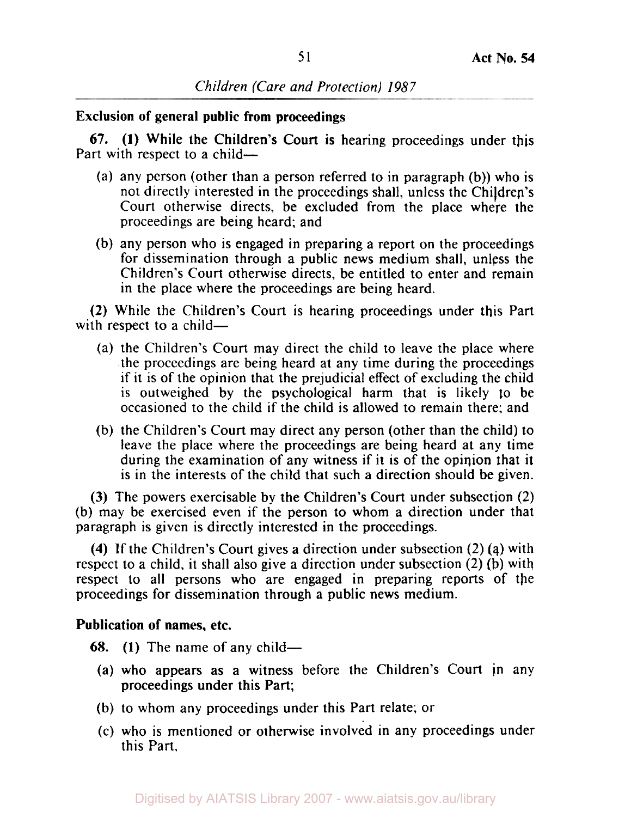*Children (Care and Protection) 1987* 

**Exclusion of general public from proceedings** 

Part with respect to a child-67. **(1)** While the Children's Court is hearing proceedings under this

- (a) any person (other than a person referred to in paragraph (b)) who is not directly interested in the proceedings shall, unless the Children's Court otherwise directs, be excluded from the place where the proceedings are being heard; and
- (b) any person who is engaged in preparing a report on the proceedings for dissemination through a public news medium shall, unless the Children's Court otherwise directs, be entitled to enter and remain in the place where the proceedings are being heard.

(2) While the Children's Court is hearing proceedings under this Part with respect to a child $-$ 

- (a) the Children's Court may direct the child to leave the place where the proceedings are being heard at any time during the proceedings if it is of the opinion that the prejudicial effect of excluding the child is outweighed by the psychological harm that is likely to be occasioned to the child if the child is allowed to remain there; and
- (b) the Children's Court may direct any person (other than the child) to leave the place where the proceedings are being heard at any time during the examination of any witness if it is of the opinion that it is in the interests of the child that such a direction should be given.

(3) The powers exercisable by the Children's Court under subsection (2) (b) may be exercised even if the person to whom a direction under that paragraph is given is directly interested in the proceedings.

**(4)** If the Children's Court gives a direction under subsection (2) **(q)** with respect to a child, it shall also give a direction under subsection (2) (b) with respect to all persons who are engaged in preparing reports of the proceedings for dissemination through a public news medium.

## **Publication of names, etc.**

68. **(1)** The name of any child-

- proceedings under this Part; (a) who appears as a witness before the Children's Court in any
- (b) to whom any proceedings under this Part relate; or
- (c) who is mentioned or otherwise involved in any proceedings under this Part,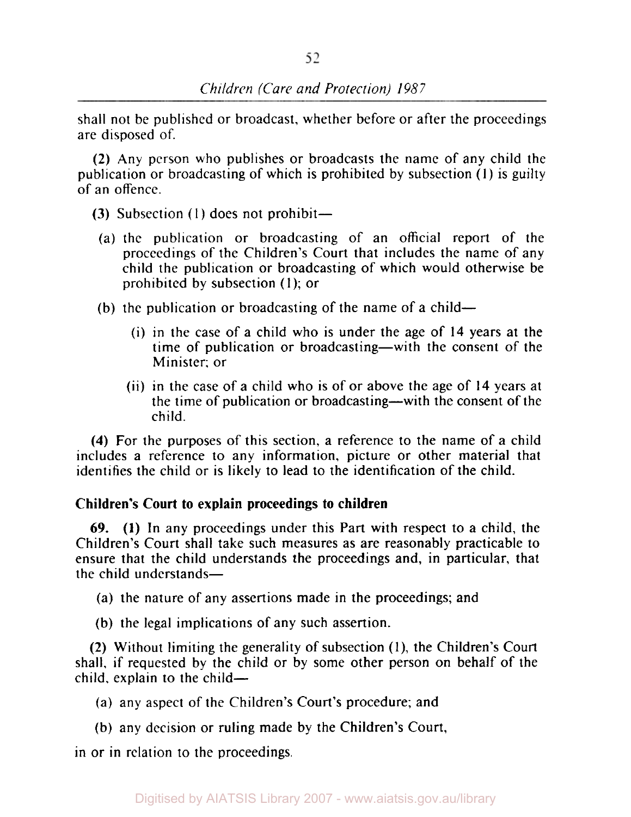shall not be published or broadcast, whether before or after the proceedings are disposed of.

(2) Any person who publishes or broadcasts the name of any child the publication or broadcasting of which is prohibited by subsection (1) is guilty of an offence.

- (3) Subsection  $(1)$  does not prohibit—
	- (a) the publication or broadcasting of an official report of the proceedings of the Children's Court that includes the name of any child the publication or broadcasting of which would otherwise be prohibited by subsection (1); or
- (b) the publication or broadcasting of the name of a child-
	- (i) in the case of a child who is under the age of **14** years at the time of publication or broadcasting-with the consent of the Minister; or
	- (ii) in the case of a child who is of or above the age of **14** years at the time of publication or broadcasting-with the consent of the child.

**(4)** For the purposes of this section, a reference to the name of a child includes a reference to any information, picture or other material that identifies the child or is likely to lead to the identification of the child.

# **Children's Court to explain proceedings to children**

69. **(1)** In any proceedings under this Part with respect to a child, the Children's Court shall take such measures as are reasonably practicable to ensure that the child understands the proceedings and, in particular, that the child understands-

(a) the nature of any assertions made in the proceedings; and

(b) the legal implications of any such assertion.

(2) Without limiting the generality of subsection **(1),** the Children's Court shall, if requested by the child or by some other person on behalf of the  $child.$  explain to the child-

(a) any aspect of the Children's Court's procedure; and

(b) any decision or ruling made by the Children's Court,

in or in relation to the proceedings.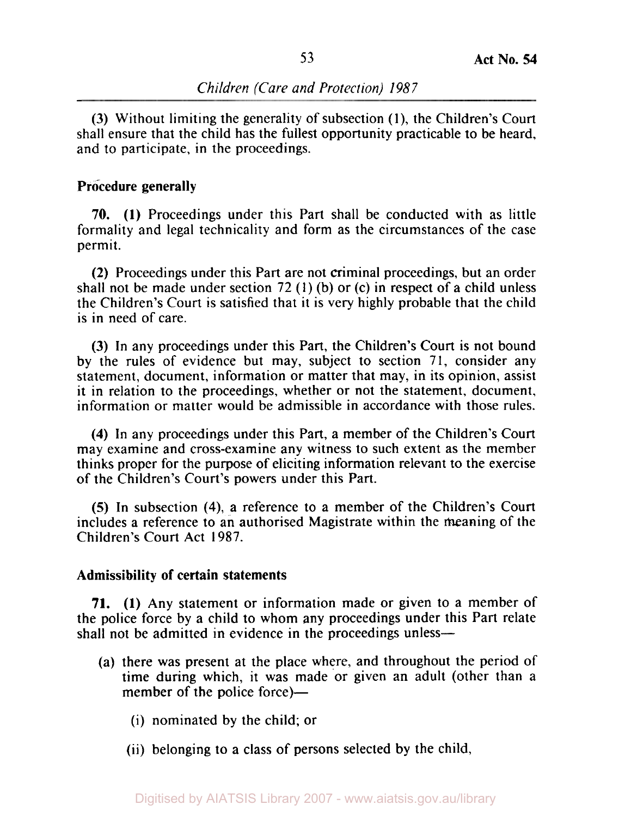(3) Without limiting the generality of subsection (1), the Children's Court shall ensure that the child has the fullest opportunity practicable to be heard, and to participate, in the proceedings.

#### **Procedure generally**

70. (I) Proceedings under this Part shall be conducted with as little formality and legal technicality and form as the circumstances of the case permit.

(2) Proceedings under this Part are not criminal proceedings, but an order shall not be made under section 72 **(1)** (b) or (c) in respect of a child unless the Children's Court is satisfied that it is very highly probable that the child is in need of care.

(3) In any proceedings under this Part, the Children's Court is not bound by the rules of evidence but may, subject to section 71, consider any statement, document, information or matter that may, in its opinion, assist it in relation to the proceedings, whether or not the statement, document, information or matter would be admissible in accordance with those rules.

**(4)** In any proceedings under this Part, a member of the Children's Court may examine and cross-examine any witness to such extent as the member thinks proper for the purpose of eliciting information relevant to the exercise of the Children's Court's powers under this Part.

**(5)** In subsection **(4),** a reference to a member of the Children's Court includes a reference to an authorised Magistrate within the meaning of the Children's Court Act 1987.

### **Admissibility of certain statements**

**71. (1)** Any statement or information made or given to a member of the police force by a child to whom any proceedings under this Part relate shall not be admitted in evidence in the proceedings unless—

- (a) there was present at the place where, and throughout the period of time during which, it was made or given an adult (other than a member of the police force)—
	- (i) nominated by the child; or
	- (ii) belonging to a class of persons selected by the child,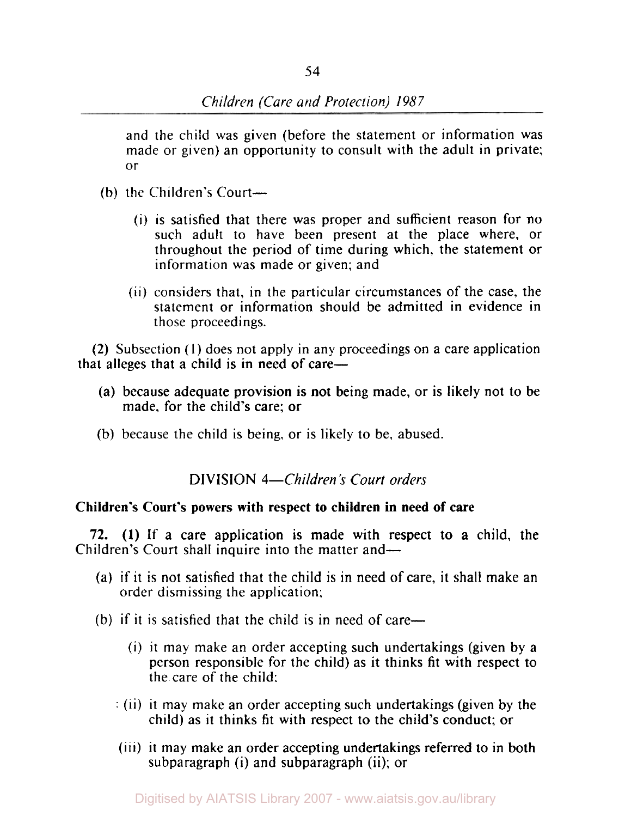and the child was given (before the statement or information was made or given) an opportunity to consult with the adult in private; or

- (b) the Children's Court-
	- (i) is satisfied that there was proper and sufficient reason for no such adult to have been present at the place where, or throughout the period of time during which, the statement or information was made or given; and
	- (ii) considers that, in the particular circumstances of the case, the statement or information should be admitted in evidence in those proceedings.

that alleges that a child is in need of care— **(2)** Subsection **(1)** does not apply in any proceedings on a care application

- made, for the child's care; or (a) because adequate provision is not being made, or is likely not to be
- (b) because the child is being, or is likely to be, abused.

# **DIVISION** *4-Children's Court orders*

# **Children's Court's powers with respect** *to* **children in need of care**

Children's Court shall inquire into the matter and— **72. (1)** If a care application is made with respect to a child, the

- (a) if it is not satisfied that the child is in need of care, it shall make an order dismissing the application;
- (b) if it is satisfied that the child **is** in need of care-
	- (i) it may make an order accepting such undertakings (given by a person responsible for the child) as it thinks fit with respect to the care of the child:
	- : (ii) it may make an order accepting such undertakings (given by the child) as it thinks fit with respect to the child's conduct; or
	- (iii) it may make an order accepting undertakings referred to in both subparagraph (i) and subparagraph (ii); or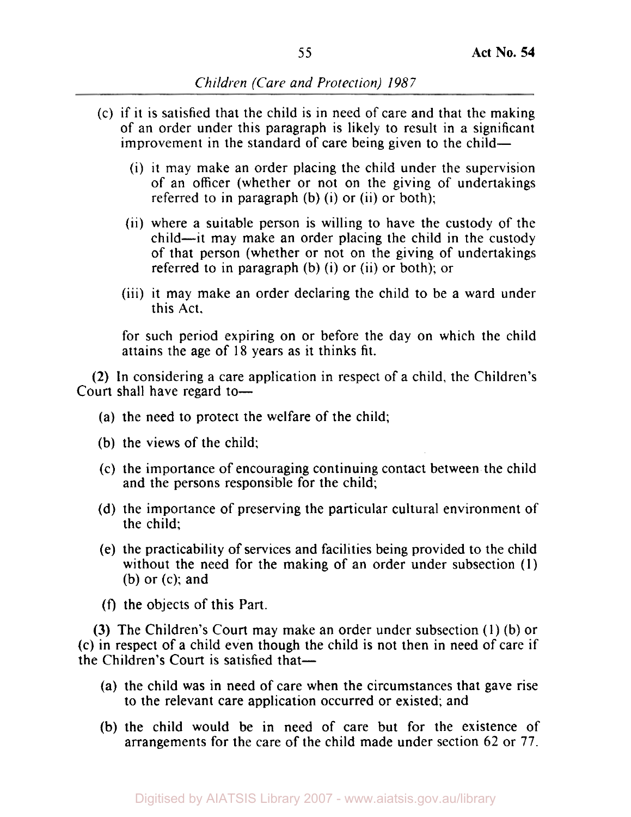- (c) if it is satisfied that the child is in need of care and that the making of an order under this paragraph is likely to result in a significant improvement in the standard of care being given to the child-
	- (i) it may make an order placing the child under the supervision of an officer (whether or not on the giving of undertakings referred to in paragraph (b) (i) or (ii) or both);
	- (ii) where a suitable person is willing to have the custody of the child-it may make an order placing the child in the custody of that person (whether or not on the giving of undertakings referred to in paragraph (b) (i) or (ii) or both); or
	- (iii) it may make an order declaring the child to be a ward under this Act,

for such period expiring on or before the day on which the child attains the age of 18 years as it thinks fit.

**(2)** In considering a care application in respect of a child, the Children's Court shall have regard to-

- (a) the need to protect the welfare of the child;
- (b) the views of the child;
- (c) the importance of encouraging continuing contact between the child and the persons responsible for the child;
- (d) the importance of preserving the particular cultural environment of the child;
- (e) the practicability of services and facilities being provided to the child without the need for the making of an order under subsection (1) (b) or (c): and
- *(f)* the objects of this Part.

**(3)** The Children's Court may make an order under subsection (1) (b) or (c) in respect of a child even though the child is not then in need of care if the Children's Court is satisfied that-

- (a) the child was in need of care when the circumstances that gave rise to the relevant care application occurred or existed; and
- (b) the child would be in need of care but for the existence of arrangements for the care of the child made under section 62 or **77.**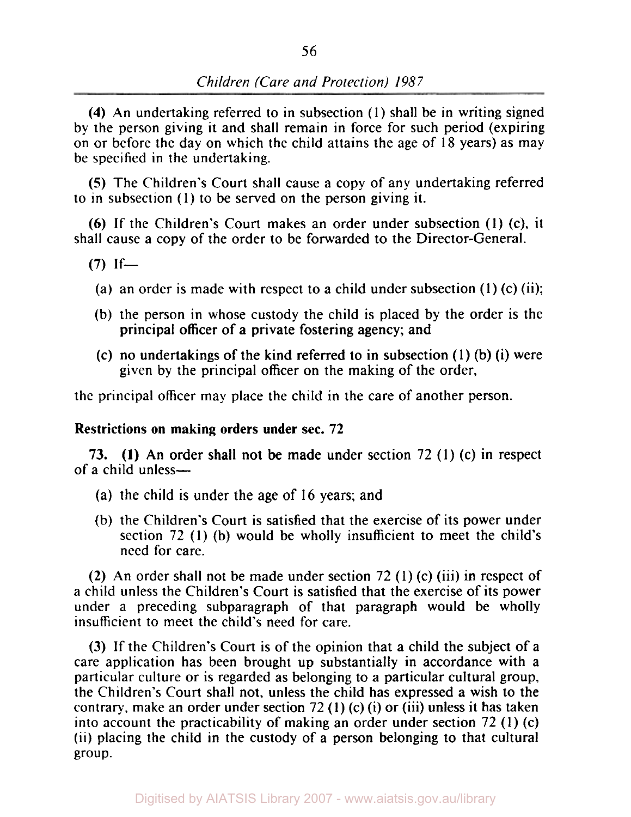**(4)** An undertaking referred to in subsection **(1)** shall be in writing signed by the person giving it and shall remain in force for such period (expiring on or before the day on which the child attains the age of **18** years) as may be specified in the undertaking.

*(5)* The Children's Court shall cause a copy of any undertaking referred to in subsection (1) to be served on the person giving it.

**(6) If** the Children's Court makes an order under subsection **(1) (c),** it shall cause a copy of the order to be forwarded to the Director-General.

- (a) an order **is** made with respect to a child under subsection (1) **(c)** (ii);
- (b) the person in whose custody the child is placed by the order is the principal officer of a private fostering agency; and
- **(c)** no undertakings of the kind referred to in subsection (1) (b) (i) were given by the principal officer on the making of the order,

the principal officer may place the child in the care of another person.

# **Restrictions on making orders under sec. 72**

of a child unless-**73. (I)** An order shall not be made under section **72** (1) *(c)* in respect

- (a) the child is under the age of 16 years; and
- (b) the Children's Court is satisfied that the exercise of its power under section **72** (1) (b) would be wholly insufficient to meet the child's need for care.

**(2)** An order shall not be made under section 72 (1) **(c)** (iii) in respect of a child unless the Children's Court is satisfied that the exercise of its power under a preceding subparagraph of that paragraph would be wholly insufficient to meet the child's need for care.

**(3)** If the Children's Court is of the opinion that a child the subject of a care application has been brought up substantially in accordance with a particular culture or is regarded as belonging to a particular cultural group, the Children's Court shall not, unless the child has expressed a wish to the contrary, make an order under section 72 **(1) (c)** (i) or (iii) unless it has taken into account the practicability of making an order under section 72 (1) **(c)**  (ii) placing the child in the custody of a person belonging to that cultural group.

 $(7)$  If-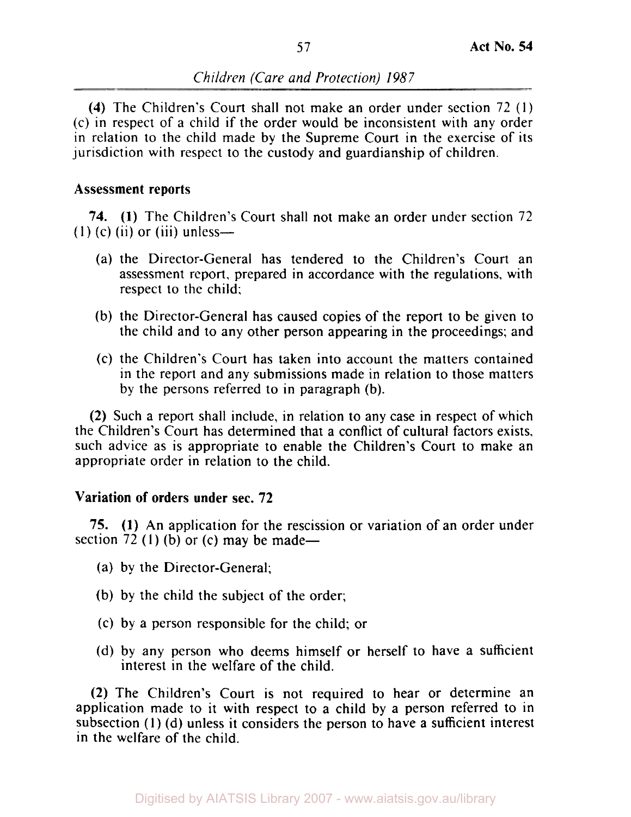**(4)** The Children's Court shall not make an order under section 72 (1) (c) in respect of a child if the order would be inconsistent with any order in relation to the child made by the Supreme Court in the exercise of its jurisdiction with respect to the custody and guardianship of children.

# Assessment reports

**74. (1)** The Children's Court shall not make an order under section 72  $(1)$  (c) (ii) or (iii) unless—

- (a) the Director-General has tendered to the Children's Court an assessment report, prepared in accordance with the regulations, with respect to the child;
- (b) the Director-General has caused copies of the report to be given to the child and to any other person appearing in the proceedings; and
- (c) the Children's Court has taken into account the matters contained in the report and any submissions made in relation to those matters by the persons referred to in paragraph (b).

**(2)** Such a report shall include, in relation to any case in respect of which the Children's Court has determined that a conflict of cultural factors exists, such advice as is appropriate to enable the Children's Court to make an appropriate order in relation to the child.

# Variation of orders under sec. **72**

**75. (1)** An application for the rescission or variation of an order under section 72 (1) (b) or (c) may be made—

- (a) by the Director-General;
- (b) by the child the subject of the order;
- (c) by a person responsible for the child; or
- (d) by any person who deems himself or herself to have a sufficient interest in the welfare of the child.

**(2)** The Children's Court is not required to hear or determine an application made to it with respect to a child by a person referred to in subsection (1) (d) unless it considers the person to have a sufficient interest in the welfare of the child.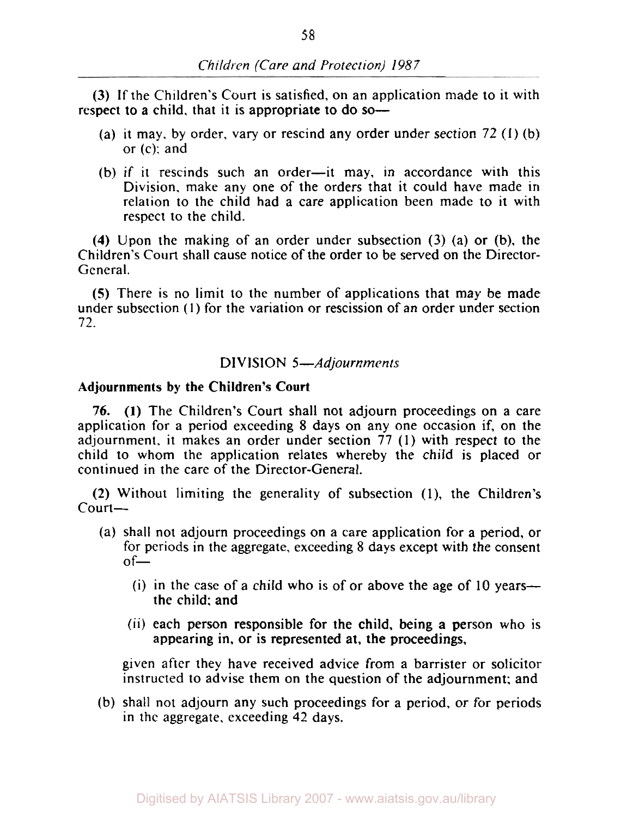(3) If the Children's Court is satisfied, on an application made to it with respect to a child, that it is appropriate to do so-

- (a) it may. by order, vary or rescind any order under section 72 (1) (b) or (c); and
- (b) if it rescinds such an order-it may, in accordance with this Division. make any one of the orders that it could have made in relation to the child had a care application been made to it with respect to the child.

**(4)** Upon the making of an order under subsection (3) (a) or (b), the Children's Court shall cause notice of the order to be served on the Director-General.

**(S)** There is no limit to the number of applications that may be made under subsection (I) for the variation or rescission of an order under section 72.

# DIVISION 5-Adjournments

## **Adjournments by the Children's Court**

76. **(1)** The Children's Court shall not adjourn proceedings on a care application for a period exceeding 8 days on any one occasion if, on the adjournment. it makes an order under section 77 (1) with respect to the child to whom the application relates whereby the child is placed or continued in the care of the Director-General.

(2) Without limiting the generality of subsection (1), the Children's Court-

- (a) shall not adjourn proceedings on a care application for a period, or for periods in the aggregate, exceeding 8 days except with the consent  $of-$ 
	- (i) in the case of a child who is of or above the age of 10 years the child; and
	- (ii) each person responsible for the child, being a person who is appearing in, or is represented at, the proceedings,

given after they have received advice from a barrister or solicitor instructed to advise them on the question of the adjournment: and

(b) shall not adjourn any such proceedings for a period, or for periods in the aggregate, exceeding 42 days.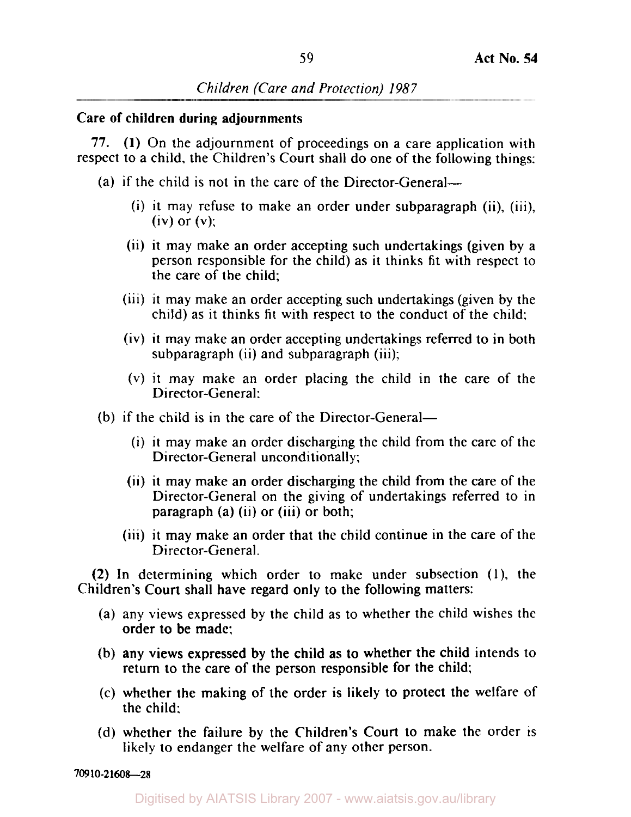## Care of children during adjournments

77. (1) On the adjournment of proceedings on a care application with respect to a child, the Children's Court shall do one of the following things:

- (a) if the child is not in the care of the Director-General--
	- (i) it may refuse to make an order under subparagraph (ii), (iii),  $(iv)$  or  $(v)$ :
	- (ii) it may make an order accepting such undertakings (given by a person responsible for the child) as it thinks fit with respect to the care of the child;
	- (iii) it may make an order accepting such undertakings (given by the child) as it thinks fit with respect to the conduct of the child:
	- (iv) it may make an order accepting undertakings referred to in both subparagraph (ii) and subparagraph (iii);
	- **(V)** it may make an order placing the child in the care of the Director-General:
- (b) if the child is in the care of the Director-General-
	- (i) it may make an order discharging the child from the care of the Director-General unconditionally:
	- (ii) it may make an order discharging the child from the care of the Director-General on the giving of undertakings referred to in paragraph (a) (ii) or (iii) or both;
	- (iii) it may make an order that the child continue in the care of the Director-General.

(2) In determining which order to make under subsection **(1),** the Children's Court shall have regard only to the following matters:

- (a) any views expressed by the child as to whether the child wishes the order to be made:
- (b) any views expressed by the child as to whether the child intends to return to the care of the person responsible for the child;
- (c) whether the making of the order is likely to protect the welfare of the child:
- (d) whether the failure by the Children's Court to make the order is likely to endanger the welfare of any other person.